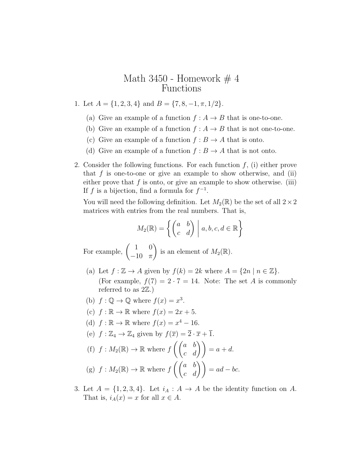## Math  $3450$  - Homework  $\#$  4 Functions

- 1. Let  $A = \{1, 2, 3, 4\}$  and  $B = \{7, 8, -1, \pi, 1/2\}.$ 
	- (a) Give an example of a function  $f : A \to B$  that is one-to-one.
	- (b) Give an example of a function  $f : A \to B$  that is not one-to-one.
	- (c) Give an example of a function  $f : B \to A$  that is onto.
	- (d) Give an example of a function  $f : B \to A$  that is not onto.
- 2. Consider the following functions. For each function  $f$ , (i) either prove that  $f$  is one-to-one or give an example to show otherwise, and (ii) either prove that  $f$  is onto, or give an example to show otherwise. (iii) If f is a bijection, find a formula for  $f^{-1}$ .

You will need the following definition. Let  $M_2(\mathbb{R})$  be the set of all  $2 \times 2$ matrices with entries from the real numbers. That is,

$$
M_2(\mathbb{R}) = \left\{ \begin{pmatrix} a & b \\ c & d \end{pmatrix} \middle| a, b, c, d \in \mathbb{R} \right\}
$$

For example,  $\begin{pmatrix} 1 & 0 \\ 10 & -1 \end{pmatrix}$  $-10$   $\pi$ ) is an element of  $M_2(\mathbb{R})$ .

- (a) Let  $f : \mathbb{Z} \to A$  given by  $f(k) = 2k$  where  $A = \{2n \mid n \in \mathbb{Z}\}.$ (For example,  $f(7) = 2 \cdot 7 = 14$ . Note: The set A is commonly referred to as  $2\mathbb{Z}$ .)
- (b)  $f: \mathbb{Q} \to \mathbb{Q}$  where  $f(x) = x^3$ .
- (c)  $f : \mathbb{R} \to \mathbb{R}$  where  $f(x) = 2x + 5$ .
- (d)  $f : \mathbb{R} \to \mathbb{R}$  where  $f(x) = x^4 16$ .

(e) 
$$
f : \mathbb{Z}_4 \to \mathbb{Z}_4
$$
 given by  $f(\overline{x}) = \overline{2} \cdot \overline{x} + \overline{1}$ .

(f) 
$$
f : M_2(\mathbb{R}) \to \mathbb{R}
$$
 where  $f\left(\begin{pmatrix} a & b \\ c & d \end{pmatrix}\right) = a + d$ .  
\n(g)  $f : M_2(\mathbb{R}) \to \mathbb{R}$  where  $f\left(\begin{pmatrix} a & b \\ c & d \end{pmatrix}\right) = ad - bc$ .

3. Let  $A = \{1, 2, 3, 4\}$ . Let  $i_A : A \rightarrow A$  be the identity function on A. That is,  $i_A(x) = x$  for all  $x \in A$ .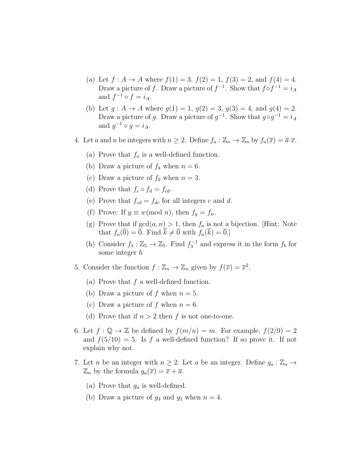- (a) Let  $f : A \to A$  where  $f(1) = 3$ ,  $f(2) = 1$ ,  $f(3) = 2$ , and  $f(4) = 4$ . Draw a picture of f. Draw a picture of  $f^{-1}$ . Show that  $f \circ f^{-1} = i_A$ and  $f^{-1} \circ f = i_A$ .
- (b) Let  $g : A \to A$  where  $g(1) = 1$ ,  $g(2) = 3$ ,  $g(3) = 4$ , and  $g(4) = 2$ . Draw a picture of g. Draw a picture of  $g^{-1}$ . Show that  $g \circ g^{-1} = i_A$ and  $g^{-1} \circ g = i_A$ .
- 4. Let a and n be integers with  $n \geq 2$ . Define  $f_a : \mathbb{Z}_n \to \mathbb{Z}_n$  by  $f_a(\overline{x}) = \overline{a} \cdot \overline{x}$ .
	- (a) Prove that  $f_a$  is a well-defined function.
	- (b) Draw a picture of  $f_4$  when  $n = 6$ .
	- (c) Draw a picture of  $f_2$  when  $n = 3$ .
	- (d) Prove that  $f_c \circ f_d = f_{cd}$ .
	- (e) Prove that  $f_{cd} = f_{dc}$  for all integers c and d.
	- (f) Prove: If  $y \equiv w \pmod{n}$ , then  $f_y = f_w$ .
	- (g) Prove that if  $gcd(a, n) > 1$ , then  $f_a$  is not a bijection. [Hint: Note that  $f_a(\overline{0}) = \overline{0}$ . Find  $\overline{k} \neq \overline{0}$  with  $f_a(\overline{k}) = \overline{0}$ .]
	- (h) Consider  $f_3: \mathbb{Z}_5 \to \mathbb{Z}_5$ . Find  $f_3^{-1}$  and express it in the form  $f_b$  for some integer b.
- 5. Consider the function  $f : \mathbb{Z}_n \to \mathbb{Z}_n$  given by  $f(\overline{x}) = \overline{x}^2$ .
	- (a) Prove that  $f$  a well-defined function.
	- (b) Draw a picture of f when  $n = 5$ .
	- (c) Draw a picture of f when  $n = 6$ .
	- (d) Prove that if  $n > 2$  then f is not one-to-one.
- 6. Let  $f: \mathbb{Q} \to \mathbb{Z}$  be defined by  $f(m/n) = m$ . For example,  $f(2/9) = 2$ and  $f(5/10) = 5$ . Is f a well-defined function? If so prove it. If not explain why not.
- 7. Let *n* be an integer with  $n \geq 2$ . Let *a* be an integer. Define  $g_a : \mathbb{Z}_n \to$  $\mathbb{Z}_n$  by the formula  $g_a(\overline{x}) = \overline{x} + \overline{a}$ .
	- (a) Prove that  $g_a$  is well-defined.
	- (b) Draw a picture of  $g_3$  and  $g_2$  when  $n = 4$ .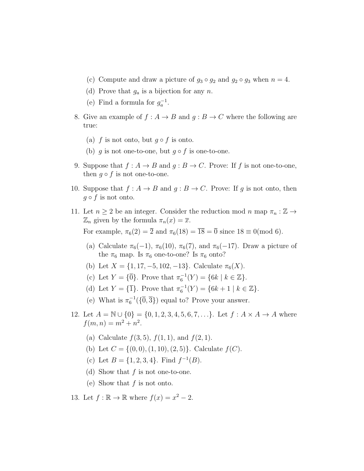- (c) Compute and draw a picture of  $g_3 \circ g_2$  and  $g_2 \circ g_3$  when  $n = 4$ .
- (d) Prove that  $g_a$  is a bijection for any n.
- (e) Find a formula for  $g_a^{-1}$ .
- 8. Give an example of  $f : A \to B$  and  $g : B \to C$  where the following are true:
	- (a) f is not onto, but  $g \circ f$  is onto.
	- (b) g is not one-to-one, but  $g \circ f$  is one-to-one.
- 9. Suppose that  $f: A \to B$  and  $q: B \to C$ . Prove: If f is not one-to-one, then  $g \circ f$  is not one-to-one.
- 10. Suppose that  $f: A \to B$  and  $g: B \to C$ . Prove: If g is not onto, then  $g \circ f$  is not onto.
- 11. Let  $n \geq 2$  be an integer. Consider the reduction mod  $n \text{ map } \pi_n : \mathbb{Z} \to$  $\mathbb{Z}_n$  given by the formula  $\pi_n(x) = \overline{x}$ . For example,  $\pi_6(2) = \overline{2}$  and  $\pi_6(18) = \overline{18} = \overline{0}$  since  $18 \equiv 0 \pmod{6}$ .
	- (a) Calculate  $\pi_6(-1)$ ,  $\pi_6(10)$ ,  $\pi_6(7)$ , and  $\pi_6(-17)$ . Draw a picture of the  $\pi_6$  map. Is  $\pi_6$  one-to-one? Is  $\pi_6$  onto?
	- (b) Let  $X = \{1, 17, -5, 102, -13\}$ . Calculate  $\pi_6(X)$ .
	- (c) Let  $Y = {\overline{0}}$ . Prove that  $\pi_6^{-1}(Y) = \{ 6k \mid k \in \mathbb{Z} \}.$
	- (d) Let  $Y = {\overline{1}}$ . Prove that  $\pi_6^{-1}(Y) = \{6k + 1 \mid k \in \mathbb{Z}\}.$
	- (e) What is  $\pi_6^{-1}(\{\overline{0},\overline{3}\})$  equal to? Prove your answer.
- 12. Let  $A = \mathbb{N} \cup \{0\} = \{0, 1, 2, 3, 4, 5, 6, 7, \ldots\}$ . Let  $f : A \times A \rightarrow A$  where  $f(m, n) = m^2 + n^2$ .
	- (a) Calculate  $f(3,5)$ ,  $f(1,1)$ , and  $f(2,1)$ .
	- (b) Let  $C = \{(0, 0), (1, 10), (2, 5)\}\)$ . Calculate  $f(C)$ .
	- (c) Let  $B = \{1, 2, 3, 4\}$ . Find  $f^{-1}(B)$ .
	- (d) Show that  $f$  is not one-to-one.
	- (e) Show that  $f$  is not onto.
- 13. Let  $f : \mathbb{R} \to \mathbb{R}$  where  $f(x) = x^2 2$ .